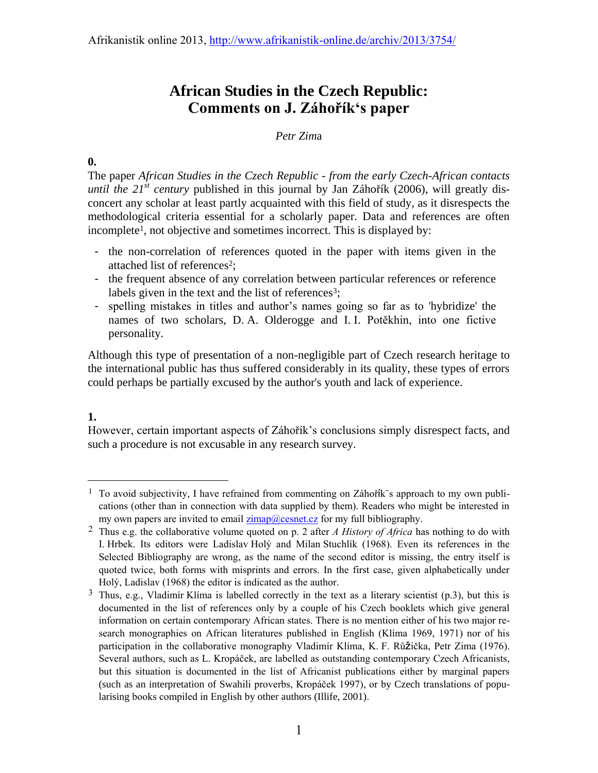# **African Studies in the Czech Republic: Comments on J. Záhořík's paper**

## *Petr Zim*a

## **0.**

The paper *African Studies in the Czech Republic - from the early Czech-African contacts until the*  $21^{st}$  *century* published in this journal by Jan Záhořík (2006), will greatly disconcert any scholar at least partly acquainted with this field of study, as it disrespects the methodological criteria essential for a scholarly paper. Data and references are often incomplete<sup>1</sup>, not objective and sometimes incorrect. This is displayed by:

- the non-correlation of references quoted in the paper with items given in the attached list of references<sup>2</sup>;
- the frequent absence of any correlation between particular references or reference labels given in the text and the list of references<sup>3</sup>;
- spelling mistakes in titles and author's names going so far as to 'hybridize' the names of two scholars, D. A. Olderogge and I. I. Potěkhin, into one fictive personality.

Although this type of presentation of a non-negligible part of Czech research heritage to the international public has thus suffered considerably in its quality, these types of errors could perhaps be partially excused by the author's youth and lack of experience.

## **1.**

-

However, certain important aspects of Záhořík's conclusions simply disrespect facts, and such a procedure is not excusable in any research survey.

<sup>&</sup>lt;sup>1</sup> To avoid subjectivity, I have refrained from commenting on Záhořík¨s approach to my own publications (other than in connection with data supplied by them). Readers who might be interested in my own papers are invited to email  $zimap@cesnet.cs$  for my full bibliography.

<sup>2</sup> Thus e.g. the collaborative volume quoted on p. 2 after *A History of Africa* has nothing to do with I. Hrbek. Its editors were Ladislav Holý and Milan Stuchlík (1968). Even its references in the Selected Bibliography are wrong, as the name of the second editor is missing, the entry itself is quoted twice, both forms with misprints and errors. In the first case, given alphabetically under Holý, Ladislav (1968) the editor is indicated as the author.

<sup>&</sup>lt;sup>3</sup> Thus, e.g., Vladimír Klíma is labelled correctly in the text as a literary scientist (p.3), but this is documented in the list of references only by a couple of his Czech booklets which give general information on certain contemporary African states. There is no mention either of his two major research monographies on African literatures published in English (Klíma 1969, 1971) nor of his participation in the collaborative monography Vladimír Klíma, K. F. Růžička, Petr Zima (1976). Several authors, such as L. Kropáček, are labelled as outstanding contemporary Czech Africanists, but this situation is documented in the list of Africanist publications either by marginal papers (such as an interpretation of Swahili proverbs, Kropáček 1997), or by Czech translations of popularising books compiled in English by other authors (Illife, 2001).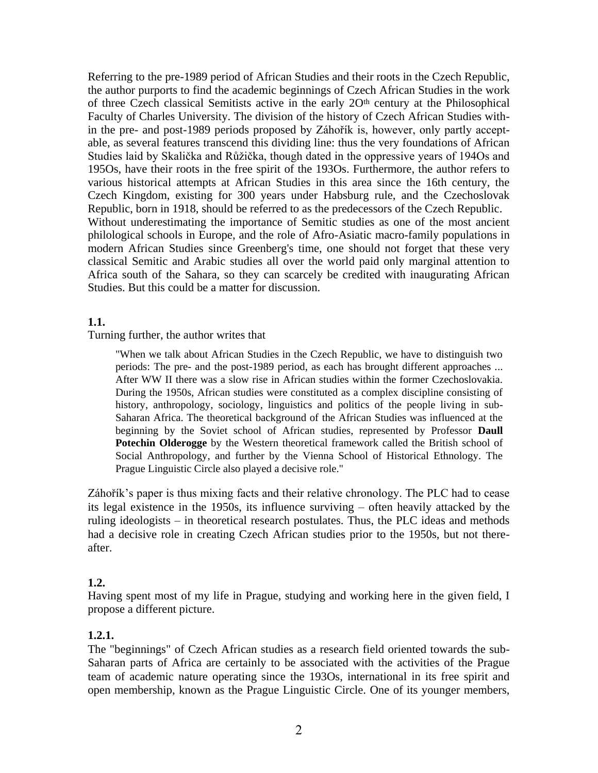Referring to the pre-1989 period of African Studies and their roots in the Czech Republic, the author purports to find the academic beginnings of Czech African Studies in the work of three Czech classical Semitists active in the early  $2O<sup>th</sup>$  century at the Philosophical Faculty of Charles University. The division of the history of Czech African Studies within the pre- and post-1989 periods proposed by Záhořík is, however, only partly acceptable, as several features transcend this dividing line: thus the very foundations of African Studies laid by Skalička and Růžička, though dated in the oppressive years of 194Os and 195Os, have their roots in the free spirit of the 193Os. Furthermore, the author refers to various historical attempts at African Studies in this area since the 16th century, the Czech Kingdom, existing for 300 years under Habsburg rule, and the Czechoslovak Republic, born in 1918, should be referred to as the predecessors of the Czech Republic. Without underestimating the importance of Semitic studies as one of the most ancient philological schools in Europe, and the role of Afro-Asiatic macro-family populations in modern African Studies since Greenberg's time, one should not forget that these very classical Semitic and Arabic studies all over the world paid only marginal attention to Africa south of the Sahara, so they can scarcely be credited with inaugurating African Studies. But this could be a matter for discussion.

## **1.1.**

Turning further, the author writes that

"When we talk about African Studies in the Czech Republic, we have to distinguish two periods: The pre- and the post-1989 period, as each has brought different approaches ... After WW II there was a slow rise in African studies within the former Czechoslovakia. During the 1950s, African studies were constituted as a complex discipline consisting of history, anthropology, sociology, linguistics and politics of the people living in sub-Saharan Africa. The theoretical background of the African Studies was influenced at the beginning by the Soviet school of African studies, represented by Professor **Daull Potechin Olderogge** by the Western theoretical framework called the British school of Social Anthropology, and further by the Vienna School of Historical Ethnology. The Prague Linguistic Circle also played a decisive role."

Záhořík's paper is thus mixing facts and their relative chronology. The PLC had to cease its legal existence in the 1950s, its influence surviving – often heavily attacked by the ruling ideologists – in theoretical research postulates. Thus, the PLC ideas and methods had a decisive role in creating Czech African studies prior to the 1950s, but not thereafter.

## **1.2.**

Having spent most of my life in Prague, studying and working here in the given field, I propose a different picture.

## **1.2.1.**

The "beginnings" of Czech African studies as a research field oriented towards the sub-Saharan parts of Africa are certainly to be associated with the activities of the Prague team of academic nature operating since the 193Os, international in its free spirit and open membership, known as the Prague Linguistic Circle. One of its younger members,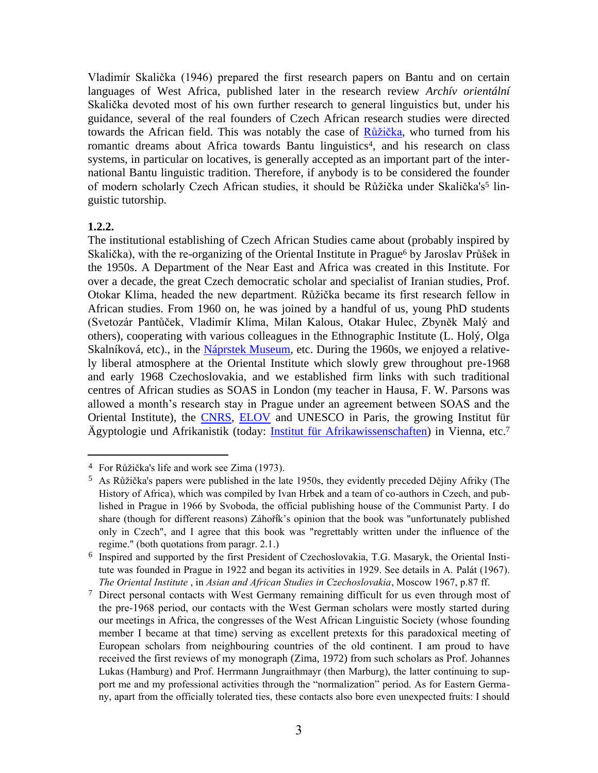Vladimír Skalička (1946) prepared the first research papers on Bantu and on certain languages of West Africa, published later in the research review *Archív orientální* Skalička devoted most of his own further research to general linguistics but, under his guidance, several of the real founders of Czech African research studies were directed towards the African field. This was notably the case of [Růžička,](http://dlib.lib.cas.cz/6389/) who turned from his romantic dreams about Africa towards Bantu linguistics<sup>4</sup>, and his research on class systems, in particular on locatives, is generally accepted as an important part of the international Bantu linguistic tradition. Therefore, if anybody is to be considered the founder of modern scholarly Czech African studies, it should be Růžička under Skalička's<sup>5</sup> linguistic tutorship.

## **1.2.2.**

 $\overline{a}$ 

The institutional establishing of Czech African Studies came about (probably inspired by Skalička), with the re-organizing of the Oriental Institute in Prague<sup>6</sup> by Jaroslav Průšek in the 1950s. A Department of the Near East and Africa was created in this Institute. For over a decade, the great Czech democratic scholar and specialist of Iranian studies, Prof. Otokar Klíma, headed the new department. Růžička became its first research fellow in African studies. From 1960 on, he was joined by a handful of us, young PhD students (Svetozár Pantůček, Vladimír Klíma, Milan Kalous, Otakar Hulec, Zbyněk Malý and others), cooperating with various colleagues in the Ethnographic Institute (L. Holý, Olga Skalníková, etc)., in the [Náprstek Museum,](http://de.wikipedia.org/wiki/N%C3%A1prstek-Museum) etc. During the 1960s, we enjoyed a relatively liberal atmosphere at the Oriental Institute which slowly grew throughout pre-1968 and early 1968 Czechoslovakia, and we established firm links with such traditional centres of African studies as SOAS in London (my teacher in Hausa, F. W. Parsons was allowed a month's research stay in Prague under an agreement between SOAS and the Oriental Institute), the [CNRS,](http://www.cnrs.fr/) [ELOV](http://www.inalco.fr/IMG/pdf/historique_long.pdf) and UNESCO in Paris, the growing Institut für Ägyptologie und Afrikanistik (today: [Institut für Afrikawissenschaften\)](http://afrika.univie.ac.at/home/) in Vienna, etc.<sup>7</sup>

<sup>4</sup> For Růžička's life and work see Zima (1973).

 $5$  As Růžička's papers were published in the late 1950s, they evidently preceded Dějiny Afriky (The History of Africa), which was compiled by Ivan Hrbek and a team of co-authors in Czech, and published in Prague in 1966 by Svoboda, the official publishing house of the Communist Party. I do share (though for different reasons) Záhořík's opinion that the book was "unfortunately published only in Czech", and I agree that this book was "regrettably written under the influence of the regime." (both quotations from paragr. 2.1.)

<sup>&</sup>lt;sup>6</sup> Inspired and supported by the first President of Czechoslovakia, T.G. Masaryk, the Oriental Institute was founded in Prague in 1922 and began its activities in 1929. See details in A. Palát (1967). *The Oriental Institute* , in *Asian and African Studies in Czechoslovakia*, Moscow 1967, p.87 ff.

<sup>7</sup> Direct personal contacts with West Germany remaining difficult for us even through most of the pre-1968 period, our contacts with the West German scholars were mostly started during our meetings in Africa, the congresses of the West African Linguistic Society (whose founding member I became at that time) serving as excellent pretexts for this paradoxical meeting of European scholars from neighbouring countries of the old continent. I am proud to have received the first reviews of my monograph (Zima, 1972) from such scholars as Prof. Johannes Lukas (Hamburg) and Prof. Herrmann Jungraithmayr (then Marburg), the latter continuing to support me and my professional activities through the "normalization" period. As for Eastern Germany, apart from the officially tolerated ties, these contacts also bore even unexpected fruits: I should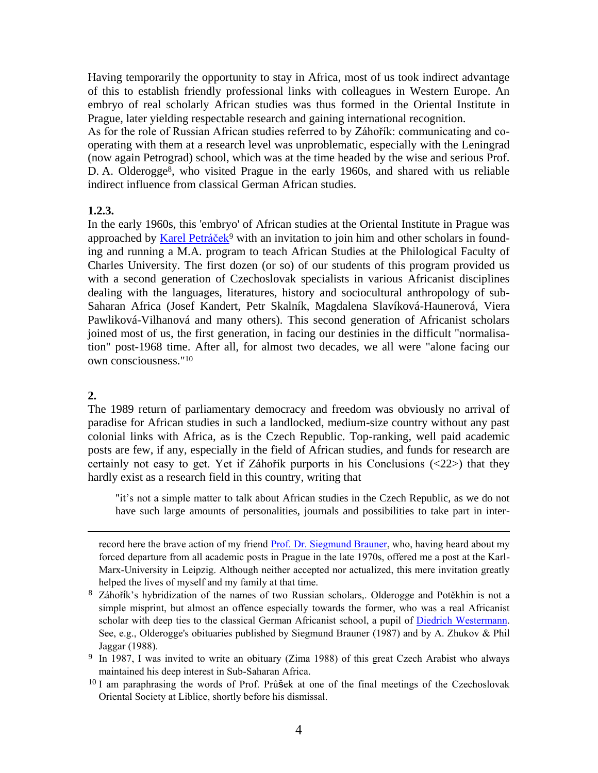Having temporarily the opportunity to stay in Africa, most of us took indirect advantage of this to establish friendly professional links with colleagues in Western Europe. An embryo of real scholarly African studies was thus formed in the Oriental Institute in Prague, later yielding respectable research and gaining international recognition.

As for the role of Russian African studies referred to by Záhořík: communicating and cooperating with them at a research level was unproblematic, especially with the Leningrad (now again Petrograd) school, which was at the time headed by the wise and serious Prof. D. A. Olderogge<sup>8</sup>, who visited Prague in the early 1960s, and shared with us reliable indirect influence from classical German African studies.

## **1.2.3.**

In the early 1960s, this 'embryo' of African studies at the Oriental Institute in Prague was approached by [Karel Petráček](http://www.phil.muni.cz/sborniky/rada_jazykovedna/dataweb07/2kronika/petracek.htm)<sup>9</sup> with an invitation to join him and other scholars in founding and running a M.A. program to teach African Studies at the Philological Faculty of Charles University. The first dozen (or so) of our students of this program provided us with a second generation of Czechoslovak specialists in various Africanist disciplines dealing with the languages, literatures, history and sociocultural anthropology of sub-Saharan Africa (Josef Kandert, Petr Skalník, Magdalena Slavíková-Haunerová, Viera Pawliková-Vilhanová and many others). This second generation of Africanist scholars joined most of us, the first generation, in facing our destinies in the difficult "normalisation" post-1968 time. After all, for almost two decades, we all were "alone facing our own consciousness."<sup>10</sup>

## **2.**

-

The 1989 return of parliamentary democracy and freedom was obviously no arrival of paradise for African studies in such a landlocked, medium-size country without any past colonial links with Africa, as is the Czech Republic. Top-ranking, well paid academic posts are few, if any, especially in the field of African studies, and funds for research are certainly not easy to get. Yet if Záhořík purports in his Conclusions (<22>) that they hardly exist as a research field in this country, writing that

"it's not a simple matter to talk about African studies in the Czech Republic, as we do not have such large amounts of personalities, journals and possibilities to take part in inter-

record here the brave action of my friend [Prof. Dr. Siegmund Brauner,](http://uni-leipzig.de/unigeschichte/professorenkatalog/leipzig/Brauner_2050.pdf) who, having heard about my forced departure from all academic posts in Prague in the late 1970s, offered me a post at the Karl-Marx-University in Leipzig. Although neither accepted nor actualized, this mere invitation greatly helped the lives of myself and my family at that time.

<sup>8</sup> Záhořík's hybridization of the names of two Russian scholars,. Olderogge and Potěkhin is not a simple misprint, but almost an offence especially towards the former, who was a real Africanist scholar with deep ties to the classical German Africanist school, a pupil of Diedrich [Westermann.](http://www.bautz.de/bbkl/w/westermann_d_h.shtml) See, e.g., Olderogge's obituaries published by Siegmund Brauner (1987) and by A. Zhukov & Phil Jaggar (1988).

<sup>10</sup> I am paraphrasing the words of Prof. Průšek at one of the final meetings of the Czechoslovak Oriental Society at Liblice, shortly before his dismissal.

<sup>&</sup>lt;sup>9</sup> In 1987, I was invited to write an obituary (Zima 1988) of this great Czech Arabist who always maintained his deep interest in Sub-Saharan Africa.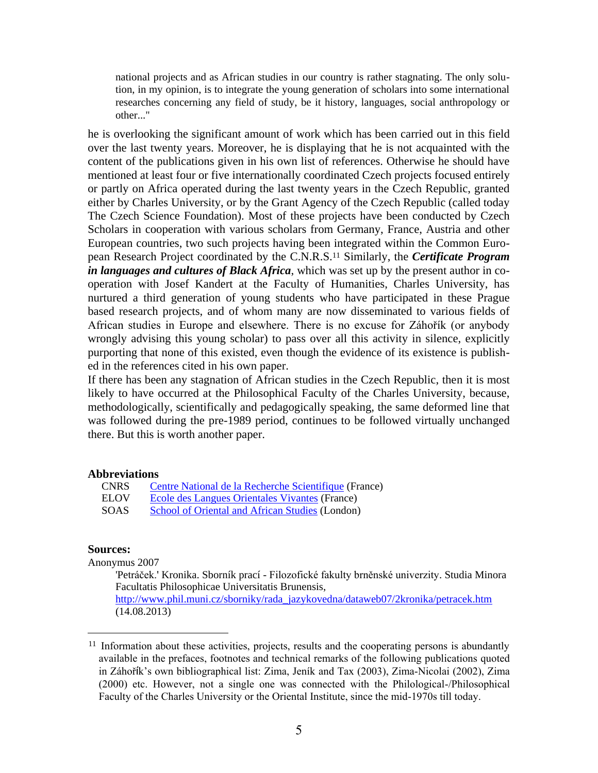national projects and as African studies in our country is rather stagnating. The only solution, in my opinion, is to integrate the young generation of scholars into some international researches concerning any field of study, be it history, languages, social anthropology or other..."

he is overlooking the significant amount of work which has been carried out in this field over the last twenty years. Moreover, he is displaying that he is not acquainted with the content of the publications given in his own list of references. Otherwise he should have mentioned at least four or five internationally coordinated Czech projects focused entirely or partly on Africa operated during the last twenty years in the Czech Republic, granted either by Charles University, or by the Grant Agency of the Czech Republic (called today The Czech Science Foundation). Most of these projects have been conducted by Czech Scholars in cooperation with various scholars from Germany, France, Austria and other European countries, two such projects having been integrated within the Common European Research Project coordinated by the C.N.R.S.<sup>11</sup> Similarly, the *Certificate Program in languages and cultures of Black Africa*, which was set up by the present author in cooperation with Josef Kandert at the Faculty of Humanities, Charles University, has nurtured a third generation of young students who have participated in these Prague based research projects, and of whom many are now disseminated to various fields of African studies in Europe and elsewhere. There is no excuse for Záhořík (or anybody wrongly advising this young scholar) to pass over all this activity in silence, explicitly purporting that none of this existed, even though the evidence of its existence is published in the references cited in his own paper.

If there has been any stagnation of African studies in the Czech Republic, then it is most likely to have occurred at the Philosophical Faculty of the Charles University, because, methodologically, scientifically and pedagogically speaking, the same deformed line that was followed during the pre-1989 period, continues to be followed virtually unchanged there. But this is worth another paper.

#### **Abbreviations**

| CNRS | Centre National de la Recherche Scientifique (France) |
|------|-------------------------------------------------------|
| ELOV | Ecole des Langues Orientales Vivantes (France)        |
| SOAS | School of Oriental and African Studies (London)       |

#### **Sources:**

-

Anonymus 2007

'Petráček.' Kronika. Sborník prací - Filozofické fakulty brněnské univerzity. Studia Minora Facultatis Philosophicae Universitatis Brunensis, [http://www.phil.muni.cz/sborniky/rada\\_jazykovedna/dataweb07/2kronika/petracek.htm](http://www.phil.muni.cz/sborniky/rada_jazykovedna/dataweb07/2kronika/petracek.htm) (14.08.2013)

<sup>&</sup>lt;sup>11</sup> Information about these activities, projects, results and the cooperating persons is abundantly available in the prefaces, footnotes and technical remarks of the following publications quoted in Záhořík's own bibliographical list: Zima, Jeník and Tax (2003), Zima-Nicolai (2002), Zima (2000) etc. However, not a single one was connected with the Philological-/Philosophical Faculty of the Charles University or the Oriental Institute, since the mid-1970s till today.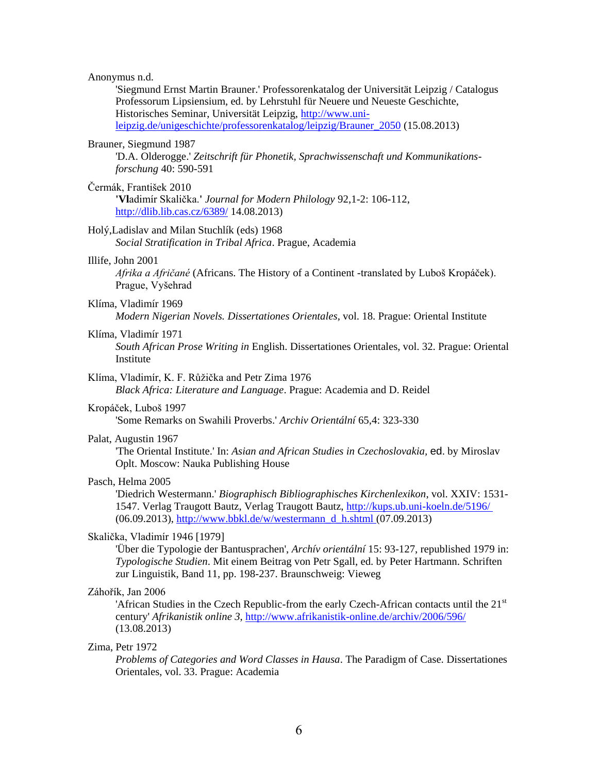#### Anonymus n.d.

'Siegmund Ernst Martin Brauner.' Professorenkatalog der Universität Leipzig / Catalogus Professorum Lipsiensium, ed. by Lehrstuhl für Neuere und Neueste Geschichte, Historisches Seminar, Universität Leipzig, [http://www.uni](http://www.uni-leipzig.de/unigeschichte/professorenkatalog/leipzig/Brauner_2050)[leipzig.de/unigeschichte/professorenkatalog/leipzig/Brauner\\_2050](http://www.uni-leipzig.de/unigeschichte/professorenkatalog/leipzig/Brauner_2050) (15.08.2013)

#### Brauner, Siegmund 1987

'D.A. Olderogge.' *Zeitschrift für Phonetik, Sprachwissenschaft und Kommunikationsforschung* 40: 590-591

### Čermák, František 2010

**'Vl**adimír Skalička.**'** *Journal for Modern Philology* 92,1-2: 106-112, <http://dlib.lib.cas.cz/6389/> 14.08.2013)

#### Holý,Ladislav and Milan Stuchlík (eds) 1968

*Social Stratification in Tribal Africa*. Prague, Academia

#### Illife, John 2001

*Afrika a Afričané* (Africans. The History of a Continent -translated by Luboš Kropáček). Prague, Vyšehrad

#### Klíma, Vladimír 1969

*Modern Nigerian Novels. Dissertationes Orientales*, vol. 18. Prague: Oriental Institute

### Klíma, Vladimír 1971

*South African Prose Writing in* English. Dissertationes Orientales, vol. 32. Prague: Oriental Institute

### Klíma, Vladimír, K. F. Růžička and Petr Zima 1976

*Black Africa: Literature and Language*. Prague: Academia and D. Reidel

#### Kropáček, Luboš 1997

'Some Remarks on Swahili Proverbs.' *Archiv Orientální* 65,4: 323-330

#### Palat, Augustin 1967

'The Oriental Institute.' In: *Asian and African Studies in Czechoslovakia,* ed. by Miroslav Oplt. Moscow: Nauka Publishing House

#### Pasch, Helma 2005

'Diedrich Westermann.' *Biographisch Bibliographisches Kirchenlexikon*, vol. XXIV: 1531- 1547. Verlag Traugott Bautz, Verlag Traugott Bautz, [http://kups.ub.uni-koeln.de/5196/](http://www.bautz.de/bbkl/w/westermann_d_h.shtml)  (06.09.2013)[, http://www.bbkl.de/w/westermann\\_d\\_h.shtml](http://www.bbkl.de/w/westermann_d_h.shtml) (07.09.2013)

#### Skalička, Vladimír 1946 [1979]

'Über die Typologie der Bantusprachen', *Archív orientální* 15: 93-127, republished 1979 in: *Typologische Studien*. Mit einem Beitrag von Petr Sgall, ed. by Peter Hartmann. Schriften zur Linguistik, Band 11, pp. 198-237. Braunschweig: Vieweg

#### Záhořík, Jan 2006

'African Studies in the Czech Republic-from the early Czech-African contacts until the  $21<sup>st</sup>$ century' *Afrikanistik online 3*, <http://www.afrikanistik-online.de/archiv/2006/596/> (13.08.2013)

#### Zima, Petr 1972

*Problems of Categories and Word Classes in Hausa*. The Paradigm of Case. Dissertationes Orientales, vol. 33. Prague: Academia